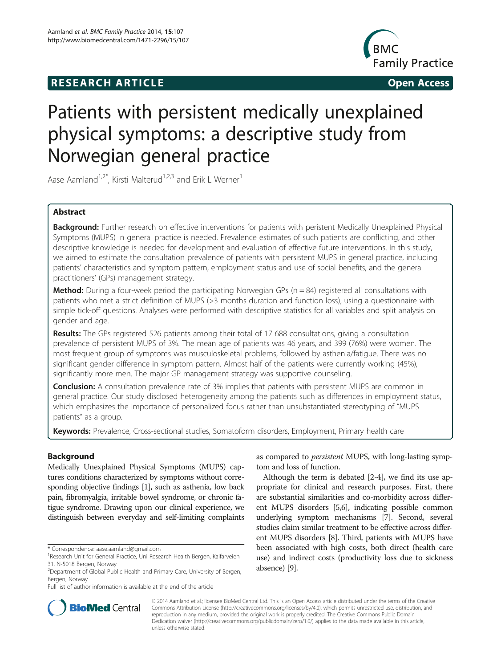# **RESEARCH ARTICLE CONSUMING THE OPEN ACCESS**



# Patients with persistent medically unexplained physical symptoms: a descriptive study from Norwegian general practice

Aase Aamland<sup>1,2\*</sup>, Kirsti Malterud<sup>1,2,3</sup> and Erik L Werner<sup>1</sup>

# Abstract

Background: Further research on effective interventions for patients with peristent Medically Unexplained Physical Symptoms (MUPS) in general practice is needed. Prevalence estimates of such patients are conflicting, and other descriptive knowledge is needed for development and evaluation of effective future interventions. In this study, we aimed to estimate the consultation prevalence of patients with persistent MUPS in general practice, including patients' characteristics and symptom pattern, employment status and use of social benefits, and the general practitioners' (GPs) management strategy.

**Method:** During a four-week period the participating Norwegian GPs ( $n = 84$ ) registered all consultations with patients who met a strict definition of MUPS (>3 months duration and function loss), using a questionnaire with simple tick-off questions. Analyses were performed with descriptive statistics for all variables and split analysis on gender and age.

Results: The GPs registered 526 patients among their total of 17 688 consultations, giving a consultation prevalence of persistent MUPS of 3%. The mean age of patients was 46 years, and 399 (76%) were women. The most frequent group of symptoms was musculoskeletal problems, followed by asthenia/fatigue. There was no significant gender difference in symptom pattern. Almost half of the patients were currently working (45%), significantly more men. The major GP management strategy was supportive counseling.

**Conclusion:** A consultation prevalence rate of 3% implies that patients with persistent MUPS are common in general practice. Our study disclosed heterogeneity among the patients such as differences in employment status, which emphasizes the importance of personalized focus rather than unsubstantiated stereotyping of "MUPS patients" as a group.

Keywords: Prevalence, Cross-sectional studies, Somatoform disorders, Employment, Primary health care

# **Background**

Medically Unexplained Physical Symptoms (MUPS) captures conditions characterized by symptoms without corresponding objective findings [\[1](#page-5-0)], such as asthenia, low back pain, fibromyalgia, irritable bowel syndrome, or chronic fatigue syndrome. Drawing upon our clinical experience, we distinguish between everyday and self-limiting complaints

as compared to persistent MUPS, with long-lasting symptom and loss of function.

Although the term is debated [\[2-4](#page-5-0)], we find its use appropriate for clinical and research purposes. First, there are substantial similarities and co-morbidity across different MUPS disorders [\[5,6\]](#page-5-0), indicating possible common underlying symptom mechanisms [\[7\]](#page-5-0). Second, several studies claim similar treatment to be effective across different MUPS disorders [[8](#page-5-0)]. Third, patients with MUPS have been associated with high costs, both direct (health care use) and indirect costs (productivity loss due to sickness absence) [[9](#page-5-0)].



© 2014 Aamland et al.; licensee BioMed Central Ltd. This is an Open Access article distributed under the terms of the Creative Commons Attribution License [\(http://creativecommons.org/licenses/by/4.0\)](http://creativecommons.org/licenses/by/4.0), which permits unrestricted use, distribution, and reproduction in any medium, provided the original work is properly credited. The Creative Commons Public Domain Dedication waiver [\(http://creativecommons.org/publicdomain/zero/1.0/](http://creativecommons.org/publicdomain/zero/1.0/)) applies to the data made available in this article, unless otherwise stated.

<sup>\*</sup> Correspondence: [aase.aamland@gmail.com](mailto:aase.aamland@gmail.com) <sup>1</sup>

<sup>&</sup>lt;sup>1</sup> Research Unit for General Practice, Uni Research Health Bergen, Kalfarveien 31, N-5018 Bergen, Norway

<sup>&</sup>lt;sup>2</sup> Department of Global Public Health and Primary Care, University of Bergen, Bergen, Norway

Full list of author information is available at the end of the article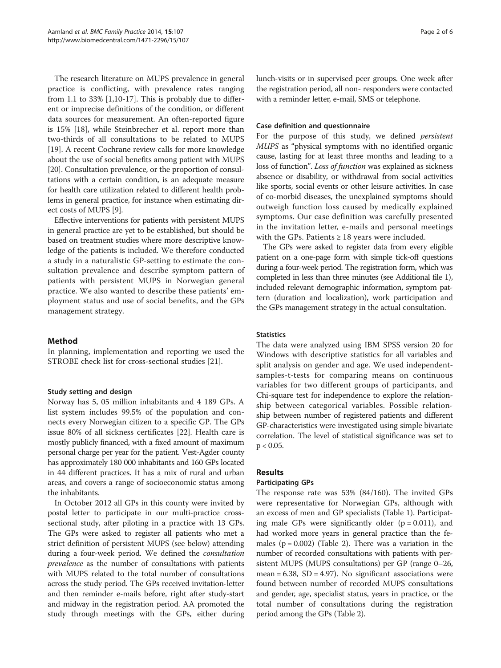The research literature on MUPS prevalence in general practice is conflicting, with prevalence rates ranging from 1.1 to 33% [[1,10-17\]](#page-5-0). This is probably due to different or imprecise definitions of the condition, or different data sources for measurement. An often-reported figure is 15% [\[18\]](#page-5-0), while Steinbrecher et al. report more than two-thirds of all consultations to be related to MUPS [[19\]](#page-5-0). A recent Cochrane review calls for more knowledge about the use of social benefits among patient with MUPS [[20](#page-5-0)]. Consultation prevalence, or the proportion of consultations with a certain condition, is an adequate measure for health care utilization related to different health problems in general practice, for instance when estimating direct costs of MUPS [\[9](#page-5-0)].

Effective interventions for patients with persistent MUPS in general practice are yet to be established, but should be based on treatment studies where more descriptive knowledge of the patients is included. We therefore conducted a study in a naturalistic GP-setting to estimate the consultation prevalence and describe symptom pattern of patients with persistent MUPS in Norwegian general practice. We also wanted to describe these patients' employment status and use of social benefits, and the GPs management strategy.

# Method

In planning, implementation and reporting we used the STROBE check list for cross-sectional studies [[21\]](#page-5-0).

# Study setting and design

Norway has 5, 05 million inhabitants and 4 189 GPs. A list system includes 99.5% of the population and connects every Norwegian citizen to a specific GP. The GPs issue 80% of all sickness certificates [\[22](#page-5-0)]. Health care is mostly publicly financed, with a fixed amount of maximum personal charge per year for the patient. Vest-Agder county has approximately 180 000 inhabitants and 160 GPs located in 44 different practices. It has a mix of rural and urban areas, and covers a range of socioeconomic status among the inhabitants.

In October 2012 all GPs in this county were invited by postal letter to participate in our multi-practice crosssectional study, after piloting in a practice with 13 GPs. The GPs were asked to register all patients who met a strict definition of persistent MUPS (see below) attending during a four-week period. We defined the consultation prevalence as the number of consultations with patients with MUPS related to the total number of consultations across the study period. The GPs received invitation-letter and then reminder e-mails before, right after study-start and midway in the registration period. AA promoted the study through meetings with the GPs, either during lunch-visits or in supervised peer groups. One week after the registration period, all non- responders were contacted with a reminder letter, e-mail, SMS or telephone.

# Case definition and questionnaire

For the purpose of this study, we defined persistent MUPS as "physical symptoms with no identified organic cause, lasting for at least three months and leading to a loss of function". Loss of function was explained as sickness absence or disability, or withdrawal from social activities like sports, social events or other leisure activities. In case of co-morbid diseases, the unexplained symptoms should outweigh function loss caused by medically explained symptoms. Our case definition was carefully presented in the invitation letter, e-mails and personal meetings with the GPs. Patients  $\geq 18$  years were included.

The GPs were asked to register data from every eligible patient on a one-page form with simple tick-off questions during a four-week period. The registration form, which was completed in less than three minutes (see Additional file [1](#page-4-0)), included relevant demographic information, symptom pattern (duration and localization), work participation and the GPs management strategy in the actual consultation.

## **Statistics**

The data were analyzed using IBM SPSS version 20 for Windows with descriptive statistics for all variables and split analysis on gender and age. We used independentsamples-t-tests for comparing means on continuous variables for two different groups of participants, and Chi-square test for independence to explore the relationship between categorical variables. Possible relationship between number of registered patients and different GP-characteristics were investigated using simple bivariate correlation. The level of statistical significance was set to  $p < 0.05$ .

# Results

# Participating GPs

The response rate was 53% (84/160). The invited GPs were representative for Norwegian GPs, although with an excess of men and GP specialists (Table [1\)](#page-2-0). Participating male GPs were significantly older  $(p = 0.011)$ , and had worked more years in general practice than the females  $(p = 0.002)$  (Table [2](#page-2-0)). There was a variation in the number of recorded consultations with patients with persistent MUPS (MUPS consultations) per GP (range 0–26, mean =  $6.38$ , SD = 4.97). No significant associations were found between number of recorded MUPS consultations and gender, age, specialist status, years in practice, or the total number of consultations during the registration period among the GPs (Table [2](#page-2-0)).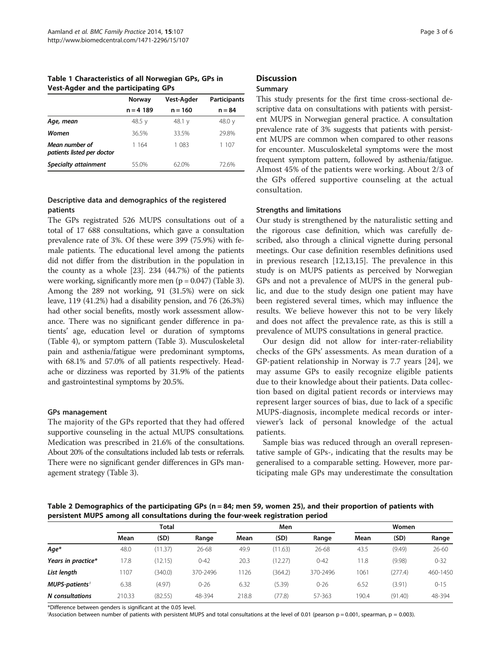<span id="page-2-0"></span>Table 1 Characteristics of all Norwegian GPs, GPs in Vest-Agder and the participating GPs

|                                              | Norway      | <b>Vest-Agder</b> | <b>Participants</b> |  |
|----------------------------------------------|-------------|-------------------|---------------------|--|
|                                              | $n = 4 189$ | $n = 160$         | $n = 84$            |  |
| Age, mean                                    | 48.5 $v$    | 48.1 y            | 48.0 y              |  |
| Women                                        | 36.5%       | 33.5%             | 29.8%               |  |
| Mean number of<br>patients listed per doctor | 1 164       | 1 083             | 1 107               |  |
| Specialty attainment                         | 55.0%       | 62.0%             | 72.6%               |  |

# Descriptive data and demographics of the registered patients

The GPs registrated 526 MUPS consultations out of a total of 17 688 consultations, which gave a consultation prevalence rate of 3%. Of these were 399 (75.9%) with female patients. The educational level among the patients did not differ from the distribution in the population in the county as a whole [[23\]](#page-5-0). 234 (44.7%) of the patients were working, significantly more men  $(p = 0.047)$  (Table [3](#page-3-0)). Among the 289 not working, 91 (31.5%) were on sick leave, 119 (41.2%) had a disability pension, and 76 (26.3%) had other social benefits, mostly work assessment allowance. There was no significant gender difference in patients' age, education level or duration of symptoms (Table [4\)](#page-3-0), or symptom pattern (Table [3](#page-3-0)). Musculoskeletal pain and asthenia/fatigue were predominant symptoms, with 68.1% and 57.0% of all patients respectively. Headache or dizziness was reported by 31.9% of the patients and gastrointestinal symptoms by 20.5%.

# GPs management

The majority of the GPs reported that they had offered supportive counseling in the actual MUPS consultations. Medication was prescribed in 21.6% of the consultations. About 20% of the consultations included lab tests or referrals. There were no significant gender differences in GPs management strategy (Table [3](#page-3-0)).

# **Discussion**

# Summary

This study presents for the first time cross-sectional descriptive data on consultations with patients with persistent MUPS in Norwegian general practice. A consultation prevalence rate of 3% suggests that patients with persistent MUPS are common when compared to other reasons for encounter. Musculoskeletal symptoms were the most frequent symptom pattern, followed by asthenia/fatigue. Almost 45% of the patients were working. About 2/3 of the GPs offered supportive counseling at the actual consultation.

# Strengths and limitations

Our study is strengthened by the naturalistic setting and the rigorous case definition, which was carefully described, also through a clinical vignette during personal meetings. Our case definition resembles definitions used in previous research [\[12,13,15](#page-5-0)]. The prevalence in this study is on MUPS patients as perceived by Norwegian GPs and not a prevalence of MUPS in the general public, and due to the study design one patient may have been registered several times, which may influence the results. We believe however this not to be very likely and does not affect the prevalence rate, as this is still a prevalence of MUPS consultations in general practice.

Our design did not allow for inter-rater-reliability checks of the GPs' assessments. As mean duration of a GP-patient relationship in Norway is 7.7 years [\[24](#page-5-0)], we may assume GPs to easily recognize eligible patients due to their knowledge about their patients. Data collection based on digital patient records or interviews may represent larger sources of bias, due to lack of a specific MUPS-diagnosis, incomplete medical records or interviewer's lack of personal knowledge of the actual patients.

Sample bias was reduced through an overall representative sample of GPs-, indicating that the results may be generalised to a comparable setting. However, more participating male GPs may underestimate the consultation

Table 2 Demographics of the participating GPs (n = 84; men 59, women 25), and their proportion of patients with persistent MUPS among all consultations during the four-week registration period

|                            | Total  |         |          | Men   |         |          | Women |         |          |
|----------------------------|--------|---------|----------|-------|---------|----------|-------|---------|----------|
|                            | Mean   | (SD)    | Range    | Mean  | (SD)    | Range    | Mean  | (SD)    | Range    |
| Age*                       | 48.0   | (11.37) | 26-68    | 49.9  | (11.63) | 26-68    | 43.5  | (9.49)  | 26-60    |
| Years in practice*         | 17.8   | (12.15) | $0 - 42$ | 20.3  | (12.27) | $0 - 42$ | 11.8  | (9.98)  | $0 - 32$ |
| List length                | 1107   | (340.0) | 370-2496 | 1126  | (364.2) | 370-2496 | 1061  | (277.4) | 460-1450 |
| MUPS-patients <sup>1</sup> | 6.38   | (4.97)  | $0 - 26$ | 6.32  | (5.39)  | $0 - 26$ | 6.52  | (3.91)  | $0 - 15$ |
| N consultations            | 210.33 | (82.55) | 48-394   | 218.8 | (77.8)  | 57-363   | 190.4 | (91.40) | 48-394   |

\*Difference between genders is significant at the 0.05 level.

<sup>I</sup>Association between number of patients with persistent MUPS and total consultations at the level of 0.01 (pearson p = 0.001, spearman, p = 0.003).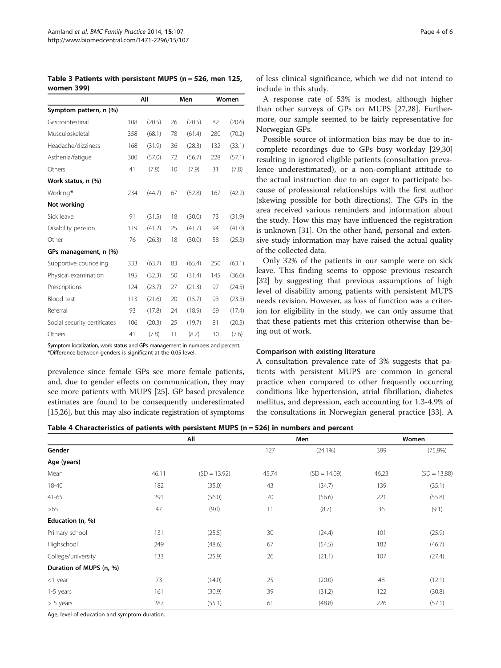<span id="page-3-0"></span>Table 3 Patients with persistent MUPS (n = 526, men 125, women 399)

|                              | All |        | Men |        | Women |        |
|------------------------------|-----|--------|-----|--------|-------|--------|
| Symptom pattern, n (%)       |     |        |     |        |       |        |
| Gastrointestinal             | 108 | (20.5) | 26  | (20.5) | 82    | (20.6) |
| Musculoskeletal              | 358 | (68.1) | 78  | (61.4) | 280   | (70.2) |
| Headache/dizziness           | 168 | (31.9) | 36  | (28.3) | 132   | (33.1) |
| Asthenia/fatique             | 300 | (57.0) | 72  | (56.7) | 228   | (57.1) |
| Others                       | 41  | (7.8)  | 10  | (7.9)  | 31    | (7.8)  |
| Work status, n (%)           |     |        |     |        |       |        |
| Working*                     | 234 | (44.7) | 67  | (52.8) | 167   | (42.2) |
| Not working                  |     |        |     |        |       |        |
| Sick leave                   | 91  | (31.5) | 18  | (30.0) | 73    | (31.9) |
| Disability pension           | 119 | (41.2) | 25  | (41.7) | 94    | (41.0) |
| Other                        | 76  | (26.3) | 18  | (30.0) | 58    | (25.3) |
| GPs management, n (%)        |     |        |     |        |       |        |
| Supportive counceling        | 333 | (63.7) | 83  | (65.4) | 250   | (63.1) |
| Physical examination         | 195 | (32.3) | 50  | (31.4) | 145   | (36.6) |
| Prescriptions                | 124 | (23.7) | 27  | (21.3) | 97    | (24.5) |
| <b>Blood</b> test            | 113 | (21.6) | 20  | (15.7) | 93    | (23.5) |
| Referral                     | 93  | (17.8) | 24  | (18.9) | 69    | (17.4) |
| Social security certificates | 106 | (20.3) | 25  | (19.7) | 81    | (20.5) |
| Others                       | 41  | (7.8)  | 11  | (8.7)  | 30    | (7.6)  |

Symptom localization, work status and GPs management in numbers and percent. \*Difference between genders is significant at the 0.05 level.

prevalence since female GPs see more female patients, and, due to gender effects on communication, they may see more patients with MUPS [[25](#page-5-0)]. GP based prevalence estimates are found to be consequently underestimated [[15,26\]](#page-5-0), but this may also indicate registration of symptoms

of less clinical significance, which we did not intend to include in this study.

A response rate of 53% is modest, although higher than other surveys of GPs on MUPS [[27,28\]](#page-5-0). Furthermore, our sample seemed to be fairly representative for Norwegian GPs.

Possible source of information bias may be due to incomplete recordings due to GPs busy workday [[29](#page-5-0),[30](#page-5-0)] resulting in ignored eligible patients (consultation prevalence underestimated), or a non-compliant attitude to the actual instruction due to an eager to participate because of professional relationships with the first author (skewing possible for both directions). The GPs in the area received various reminders and information about the study. How this may have influenced the registration is unknown [\[31\]](#page-5-0). On the other hand, personal and extensive study information may have raised the actual quality of the collected data.

Only 32% of the patients in our sample were on sick leave. This finding seems to oppose previous research [[32\]](#page-5-0) by suggesting that previous assumptions of high level of disability among patients with persistent MUPS needs revision. However, as loss of function was a criterion for eligibility in the study, we can only assume that that these patients met this criterion otherwise than being out of work.

#### Comparison with existing literature

A consultation prevalence rate of 3% suggests that patients with persistent MUPS are common in general practice when compared to other frequently occurring conditions like hypertension, atrial fibrillation, diabetes mellitus, and depression, each accounting for 1.3-4.9% of the consultations in Norwegian general practice [[33](#page-5-0)]. A

Table 4 Characteristics of patients with persistent MUPS (n = 526) in numbers and percent

| Gender                  | All   |                |       | Men            | Women |                |
|-------------------------|-------|----------------|-------|----------------|-------|----------------|
|                         |       |                | 127   | $(24.1\%)$     | 399   | $(75.9\%)$     |
| Age (years)             |       |                |       |                |       |                |
| Mean                    | 46.11 | $(SD = 13.92)$ | 45.74 | $(SD = 14.09)$ | 46.23 | $(SD = 13.88)$ |
| 18-40                   | 182   | (35.0)         | 43    | (34.7)         | 139   | (35.1)         |
| $41 - 65$               | 291   | (56.0)         | 70    | (56.6)         | 221   | (55.8)         |
| >65                     | 47    | (9.0)          | 11    | (8.7)          | 36    | (9.1)          |
| Education (n, %)        |       |                |       |                |       |                |
| Primary school          | 131   | (25.5)         | 30    | (24.4)         | 101   | (25.9)         |
| Highschool              | 249   | (48.6)         | 67    | (54.5)         | 182   | (46.7)         |
| College/university      | 133   | (25.9)         | 26    | (21.1)         | 107   | (27.4)         |
| Duration of MUPS (n, %) |       |                |       |                |       |                |
| $<$ 1 year              | 73    | (14.0)         | 25    | (20.0)         | 48    | (12.1)         |
| 1-5 years               | 161   | (30.9)         | 39    | (31.2)         | 122   | (30.8)         |
| $> 5$ years             | 287   | (55.1)         | 61    | (48.8)         | 226   | (57.1)         |

Age, level of education and symptom duration.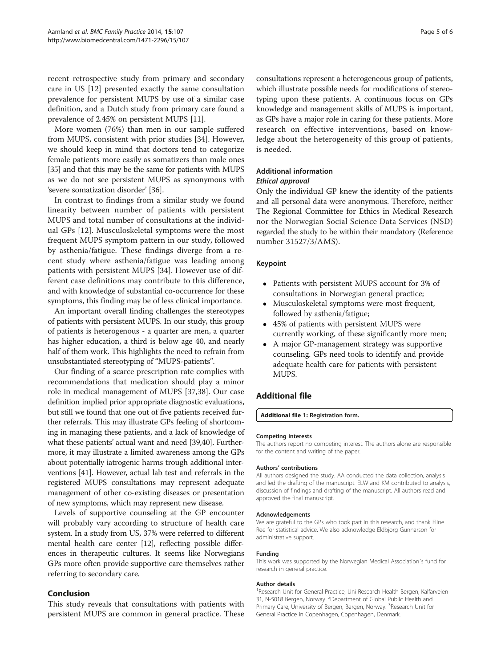<span id="page-4-0"></span>recent retrospective study from primary and secondary care in US [[12](#page-5-0)] presented exactly the same consultation prevalence for persistent MUPS by use of a similar case definition, and a Dutch study from primary care found a prevalence of 2.45% on persistent MUPS [[11](#page-5-0)].

More women (76%) than men in our sample suffered from MUPS, consistent with prior studies [\[34](#page-5-0)]. However, we should keep in mind that doctors tend to categorize female patients more easily as somatizers than male ones [[35](#page-5-0)] and that this may be the same for patients with MUPS as we do not see persistent MUPS as synonymous with 'severe somatization disorder' [\[36\]](#page-5-0).

In contrast to findings from a similar study we found linearity between number of patients with persistent MUPS and total number of consultations at the individual GPs [[12\]](#page-5-0). Musculoskeletal symptoms were the most frequent MUPS symptom pattern in our study, followed by asthenia/fatigue. These findings diverge from a recent study where asthenia/fatigue was leading among patients with persistent MUPS [[34](#page-5-0)]. However use of different case definitions may contribute to this difference, and with knowledge of substantial co-occurrence for these symptoms, this finding may be of less clinical importance.

An important overall finding challenges the stereotypes of patients with persistent MUPS. In our study, this group of patients is heterogenous - a quarter are men, a quarter has higher education, a third is below age 40, and nearly half of them work. This highlights the need to refrain from unsubstantiated stereotyping of "MUPS-patients".

Our finding of a scarce prescription rate complies with recommendations that medication should play a minor role in medical management of MUPS [[37,38\]](#page-5-0). Our case definition implied prior appropriate diagnostic evaluations, but still we found that one out of five patients received further referrals. This may illustrate GPs feeling of shortcoming in managing these patients, and a lack of knowledge of what these patients' actual want and need [\[39,40](#page-5-0)]. Furthermore, it may illustrate a limited awareness among the GPs about potentially iatrogenic harms trough additional interventions [\[41](#page-5-0)]. However, actual lab test and referrals in the registered MUPS consultations may represent adequate management of other co-existing diseases or presentation of new symptoms, which may represent new disease.

Levels of supportive counseling at the GP encounter will probably vary according to structure of health care system. In a study from US, 37% were referred to different mental health care center [[12\]](#page-5-0), reflecting possible differences in therapeutic cultures. It seems like Norwegians GPs more often provide supportive care themselves rather referring to secondary care.

# Conclusion

This study reveals that consultations with patients with persistent MUPS are common in general practice. These

consultations represent a heterogeneous group of patients, which illustrate possible needs for modifications of stereotyping upon these patients. A continuous focus on GPs knowledge and management skills of MUPS is important, as GPs have a major role in caring for these patients. More research on effective interventions, based on knowledge about the heterogeneity of this group of patients, is needed.

# Additional information Ethical approval

Only the individual GP knew the identity of the patients

and all personal data were anonymous. Therefore, neither The Regional Committee for Ethics in Medical Research nor the Norwegian Social Science Data Services (NSD) regarded the study to be within their mandatory (Reference number 31527/3/AMS).

### Keypoint

- Patients with persistent MUPS account for 3% of consultations in Norwegian general practice;
- Musculoskeletal symptoms were most frequent, followed by asthenia/fatigue;
- 45% of patients with persistent MUPS were currently working, of these significantly more men;
- A major GP-management strategy was supportive counseling. GPs need tools to identify and provide adequate health care for patients with persistent MUPS.

# Additional file

#### [Additional file 1:](http://www.biomedcentral.com/content/supplementary/1471-2296-15-107-S1.docx) Registration form.

#### Competing interests

The authors report no competing interest. The authors alone are responsible for the content and writing of the paper.

#### Authors' contributions

All authors designed the study. AA conducted the data collection, analysis and led the drafting of the manuscript. ELW and KM contributed to analysis, discussion of findings and drafting of the manuscript. All authors read and approved the final manuscript.

#### Acknowledgements

We are grateful to the GPs who took part in this research, and thank Eline Ree for statistical advice. We also acknowledge Eldbjorg Gunnarson for administrative support.

#### Funding

This work was supported by the Norwegian Medical Association´s fund for research in general practice.

#### Author details

<sup>1</sup> Research Unit for General Practice, Uni Research Health Bergen, Kalfarveien 31, N-5018 Bergen, Norway. <sup>2</sup> Department of Global Public Health and Primary Care, University of Bergen, Bergen, Norway. <sup>3</sup>Research Unit for General Practice in Copenhagen, Copenhagen, Denmark.